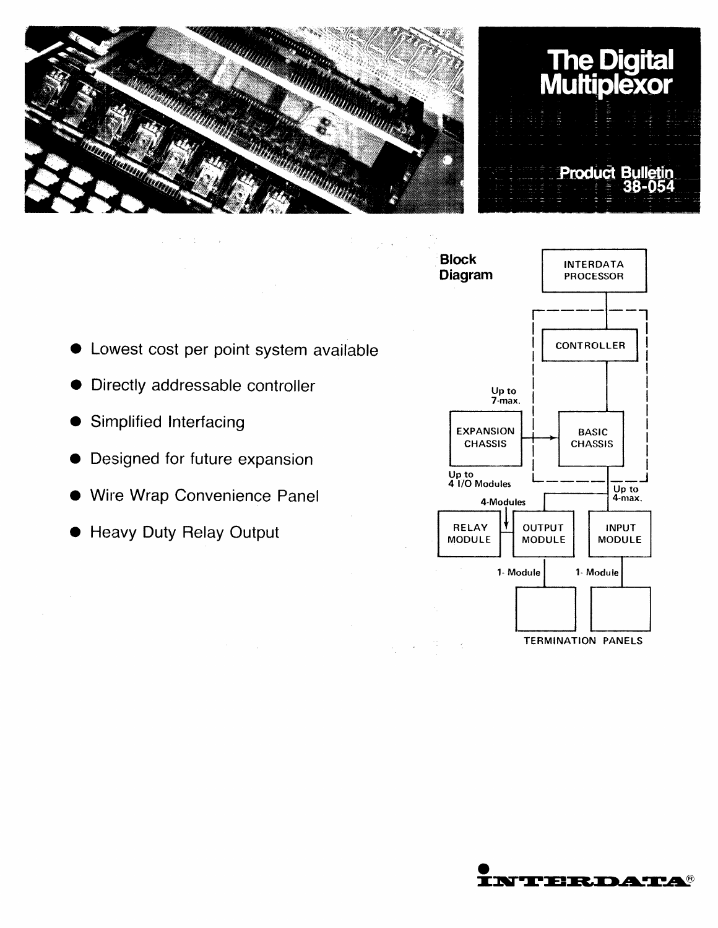





TERMINATION PANELS